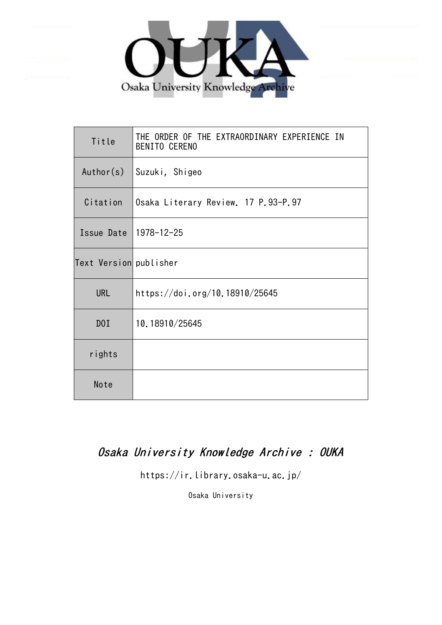

| Title                  | THE ORDER OF THE EXTRAORDINARY EXPERIENCE IN<br><b>BENITO CERENO</b> |
|------------------------|----------------------------------------------------------------------|
| Author(s)              | Suzuki, Shigeo                                                       |
| Citation               | Osaka Literary Review. 17 P.93-P.97                                  |
| Issue Date             | 1978-12-25                                                           |
| Text Version publisher |                                                                      |
| <b>URL</b>             | https://doi.org/10.18910/25645                                       |
| D0I                    | 10.18910/25645                                                       |
| rights                 |                                                                      |
| Note                   |                                                                      |

## Osaka University Knowledge Archive : OUKA

https://ir.library.osaka-u.ac.jp/

Osaka University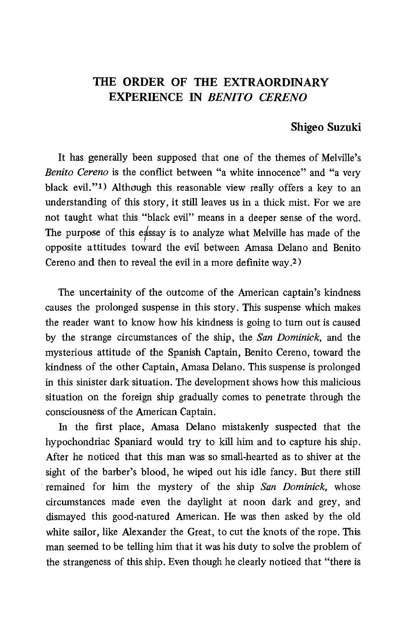## THE ORDER OF THE EXTRAORDINA EXPERIENCE IN *BENITO CEREN*

## Shigeo Suzuki

 It has generally been supposed that one of the themes of Melville's Benito Cereno is the conflict between "a white innocence" and "a very black evil."1) Although this reasonable view really offers a key to an understanding of this story, it still leaves us in a thick mist. For we are not taught what this "black evil" means in a deeper sense of the word. The purpose of this eassay is to analyze what Melville has made of the opposite attitudes toward the evil between Amasa Delano and Benito Cereno and then to reveal the evil in a more definite way.2)

 The uncertainity of the outcome of the American captain's kindness causes the prolonged suspense in this story. This suspense which makes the reader want to know how his kindness is going to turn out is caused by the strange circumstances of the ship, the San Dominick, and the mysterious attitude of the Spanish Captain, Benito Cereno, toward the kindness of the other Captain, Amasa Delano. This suspense is prolonged in this sinister dark situation. The development shows how this malicious situation on the foreign ship gradually comes to penetrate through the consciousness of the American Captain.

In the first place, Amasa Delano mistakenly suspected that the hypochondriac Spaniard would try to kill him and to capture his ship. After he noticed that this man was so small-hearted as to shiver at the sight of the barber's blood, he wiped out his idle fancy. But there still remained for him the mystery of the ship San Dominick, whose circumstances made even the daylight at noon dark and grey, and dismayed this good-natured American. He was then asked by the old white sailor, like Alexander the Great, to cut the knots of the rope. This man seemed to be telling him that it was his duty to solve the problem of the strangeness of this ship. Even though he clearly noticed that "there is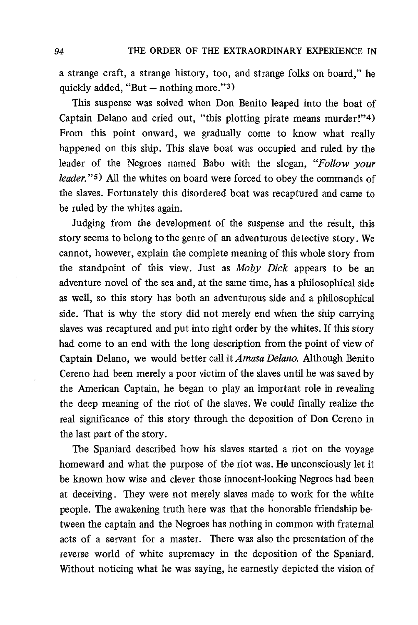a strange craft, a strange history, too, and strange folks on board," he quickly added, "But — nothing more."3)

This suspense was solved when Don Benito leaped into the boat of Captain Delano and cried out, "this plotting pirate means murder!"4) From this point onward, we gradually come to know what really happened on this ship. This slave boat was occupied and ruled by the leader of the Negroes named Babo with the slogan, "Follow your leader."5) All the whites on board were forced to obey the commands of the slaves. Fortunately this disordered boat was recaptured and came to be ruled by the whites again.

Judging from the development of the suspense and the result, this story seems to belong to the genre of an adventurous detective story. We cannot, however, explain the complete meaning of this whole story from the standpoint of this view. Just as Moby Dick appears to be an adventure novel of the sea and, at the same time, has a philosophical side as well, so this story has both an adventurous side and a philosophical side. That is why the story did not merely end when the ship carrying slaves was recaptured and put into right order by the whites. If this story had come to an end with the long description from the point of view of Captain Delano, we would better call it Amasa Delano. Although Benito Cereno had been merely a poor victim of the slaves until he was saved by the American Captain, he began to play an important role in revealing the deep meaning of the riot of the slaves. We could finally realize the real significance of this story through the deposition of Don Cereno in the last part of the story.

The Spaniard described how his slaves started a riot on the voyage homeward and what the purpose of the riot was. He unconsciously let it be known how wise and clever those innocent-looking Negroes had been at deceiving. They were not merely slaves made to work for the white people. The awakening truth here was that the honorable friendship between the captain and the Negroes has nothing in common with fraternal acts of a servant for a master. There was also the presentation of the reverse world of white supremacy in the deposition of the Spaniard. Without noticing what he was saying, he earnestly depicted the vision of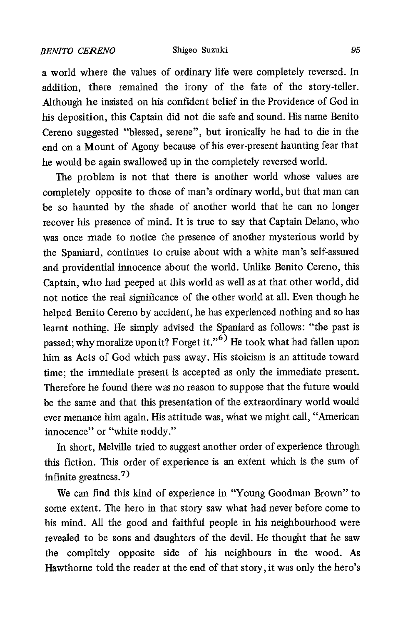a world where the values of ordinary life were completely reversed. In addition, there remained the irony of the fate of the story-teller. Although he insisted on his confident belief in the Providence of God in his deposition, this Captain did not die safe and sound. His name Benito Cereno suggested "blessed, serene", but ironically he had to die in the end on a Mount of Agony because of his ever-present haunting fear that he would be again swallowed up in the completely reversed world.

The problem is not that there is another world whose values are completely opposite to those of man's ordinary world, but that man can be so haunted by the shade of another world that he can no longer recover his presence of mind. It is true to say that Captain Delano, who was once made to notice the presence of another mysterious world by the Spaniard, continues to cruise about with a white man's self-assured and providential innocence about the world. Unlike Benito Cereno, this Captain, who had peeped at this world as well as at that other world, did not notice the real significance of the other world at all. Even though he helped Benito Cereno by accident, he has experienced nothing and so has learnt nothing. He simply advised the Spaniard as follows: "the past is passed; why moralize upon it? Forget it."<sup>6)</sup> He took what had fallen upon him as Acts of God which pass away. His stoicism is an attitude toward time; the immediate present is accepted as only the immediate present. Therefore he found there was no reason to suppose that the future would be the same and that this presentation of the extraordinary world would ever menance him again. His attitude was, what we might call, "American innocence" or "white noddy."

In short, Melville tried to suggest another order of experience through this fiction. This order of experience is an extent which is the sum of infinite greatness.7)

We can find this kind of experience in "Young Goodman Brown" to some extent. The hero in that story saw what had never before come to his mind. All the good and faithful people in his neighbourhood were revealed to be sons and daughters of the devil. He thought that he saw the compltely opposite side of his neighbours in the wood. As Hawthorne told the reader at the end of that story, it was only the hero's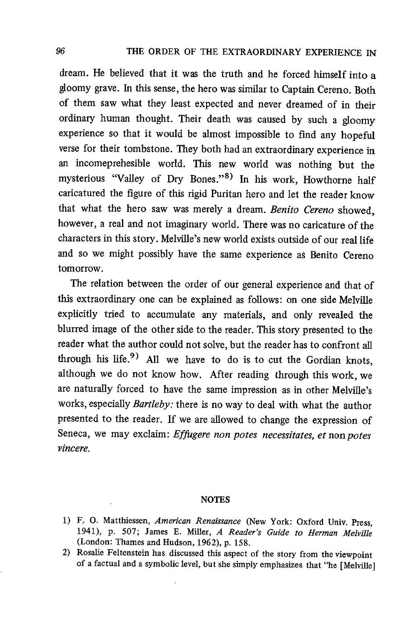dream. He believed that it was the truth and he forced himself into a gloomy grave. In this sense, the hero was similar to Captain Cereno. Both of them saw what they least expected and never dreamed of in their ordinary human thought. Their death was caused by such a gloomy experience so that it would be almost impossible to find any hopeful verse for their tombstone. They both had an extraordinary experience in an incomeprehesible world. This new world was nothing but the mysterious "Valley of Dry Bones."8) In his work, Howthorne half caricatured the figure of this rigid Puritan hero and let the reader know that what the hero saw was merely a dream. Benito Cereno showed, however, a real and not imaginary world. There was no caricature of the characters in this story. Melville's new world exists outside of our real life and so we might possibly have the same experience as Benito Cereno tomorrow.

 The relation between the order of our general experience and that of this extraordinary one can be explained as follows: on one side Melville explicitly tried to accumulate any materials, and only revealed the blurred image of the other side to the reader. This story presented to the reader what the author could not solve, but the reader has to confront all through his life.<sup>9</sup> All we have to do is to cut the Gordian knots, although we do not know how. After reading through this work , we are naturally forced to have the same impression as in other Melville's works, especially Bartleby: there is no way to deal with what the author presented to the reader. If we are allowed to change the expression of Seneca, we may exclaim: *Effugere non potes necessitates, et* non*potes* vincere.

## **NOTES**

- 1) F. O. Matthiessen, American Renaissance (New York: Oxford Univ. Press, 1941), p. 507; James E. Miller, A Reader's Guide to Herman Melville (London: Thames and Hudson, 1962), p. 158.
- 2) Rosalie Feltenstein has discussed this aspect of the story from the viewpoint of a factual and a symbolic level, but she simply emphasizes that "he [Melville]